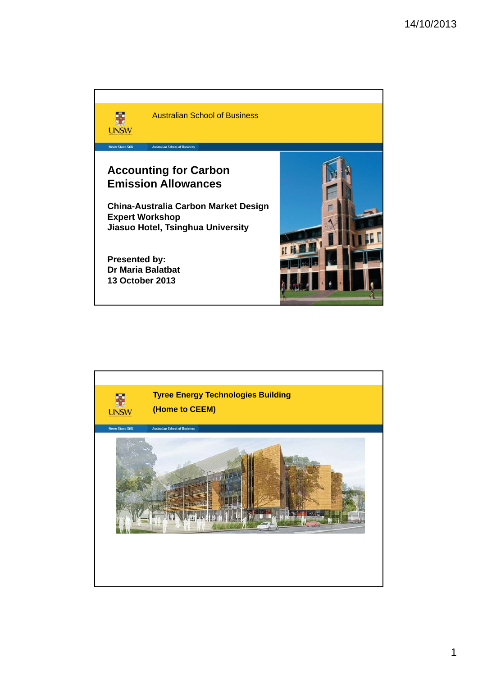

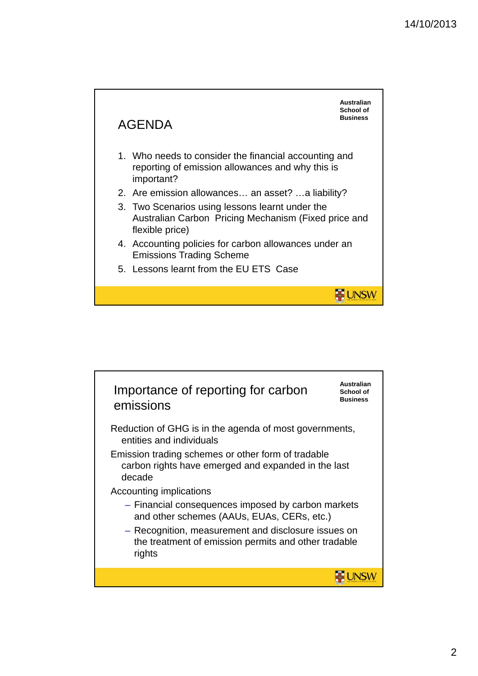

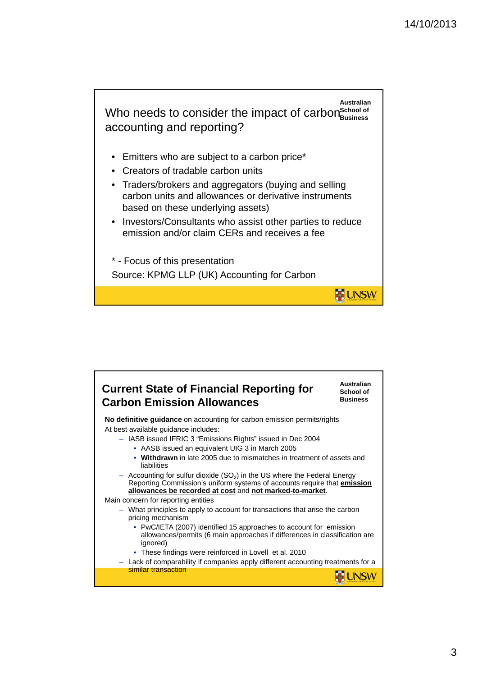

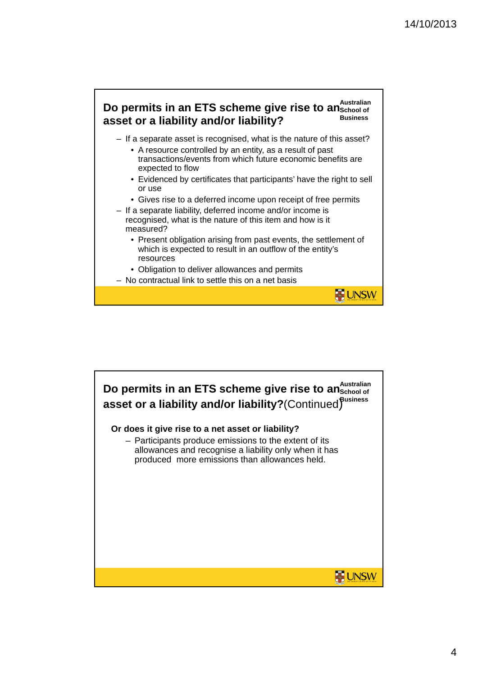

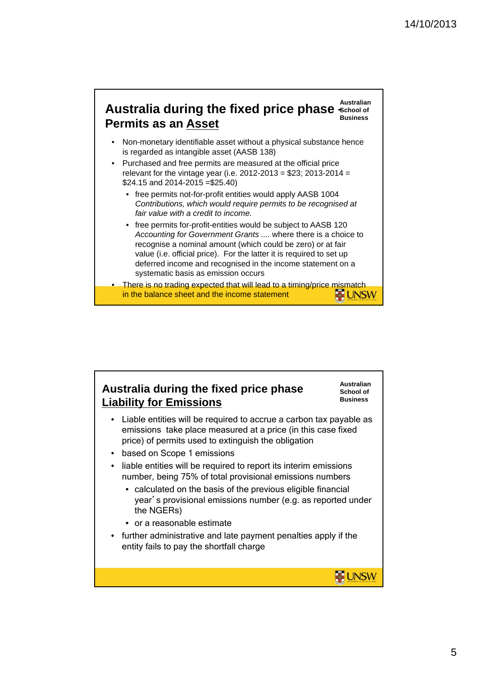## **Australian**  Australia during the fixed price phase School of **Business Permits as an Asset**

- Non-monetary identifiable asset without a physical substance hence is regarded as intangible asset (AASB 138)
- Purchased and free permits are measured at the official price relevant for the vintage year (i.e. 2012-2013 = \$23; 2013-2014 = \$24.15 and 2014-2015 =\$25.40)
	- free permits not-for-profit entities would apply AASB 1004 *Contributions, which would require permits to be recognised at fair value with a credit to income.*
	- free permits for-profit-entities would be subject to AASB 120 *Accounting for Government Grants ....* where there is a choice to recognise a nominal amount (which could be zero) or at fair value (i.e. official price). For the latter it is required to set up deferred income and recognised in the income statement on a systematic basis as emission occurs
- There is no trading expected that will lead to a timing/price mismatch in the balance sheet and the income statement **UNSW**

## **Australia during the fixed price phase Liability for Emissions**

• Liable entities will be required to accrue a carbon tax payable as emissions take place measured at a price (in this case fixed price) of permits used to extinguish the obligation

**Australian School of Business**

**ME UNSW** 

- based on Scope 1 emissions
- liable entities will be required to report its interim emissions number, being 75% of total provisional emissions numbers
	- calculated on the basis of the previous eligible financial year's provisional emissions number (e.g. as reported under the NGERs)
	- or a reasonable estimate
- further administrative and late payment penalties apply if the entity fails to pay the shortfall charge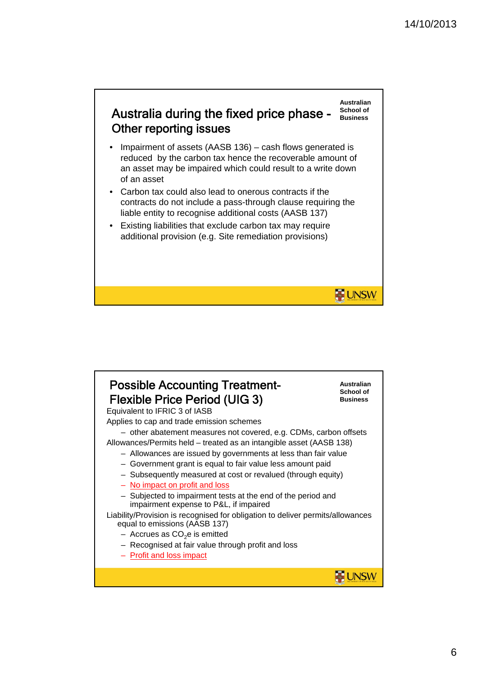**UNSW** 



- Impairment of assets (AASB 136) cash flows generated is reduced by the carbon tax hence the recoverable amount of an asset may be impaired which could result to a write down of an asset
- Carbon tax could also lead to onerous contracts if the contracts do not include a pass-through clause requiring the liable entity to recognise additional costs (AASB 137)
- Existing liabilities that exclude carbon tax may require additional provision (e.g. Site remediation provisions)

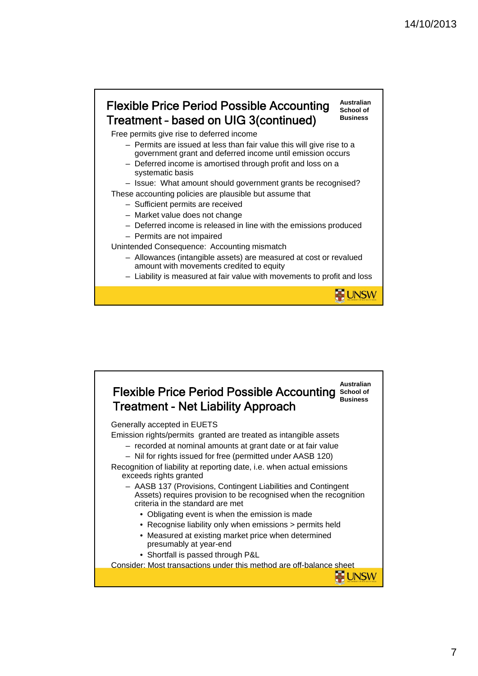## Flexible Price Period Possible Accounting Treatment – based on UIG 3(continued)

**Australian School of Business**

**UNSW** 

Free permits give rise to deferred income

- Permits are issued at less than fair value this will give rise to a government grant and deferred income until emission occurs
- Deferred income is amortised through profit and loss on a systematic basis

– Issue: What amount should government grants be recognised?

- These accounting policies are plausible but assume that
	- Sufficient permits are received
	- Market value does not change
	- Deferred income is released in line with the emissions produced
	- Permits are not impaired

Unintended Consequence: Accounting mismatch

- Allowances (intangible assets) are measured at cost or revalued amount with movements credited to equity
- Liability is measured at fair value with movements to profit and loss